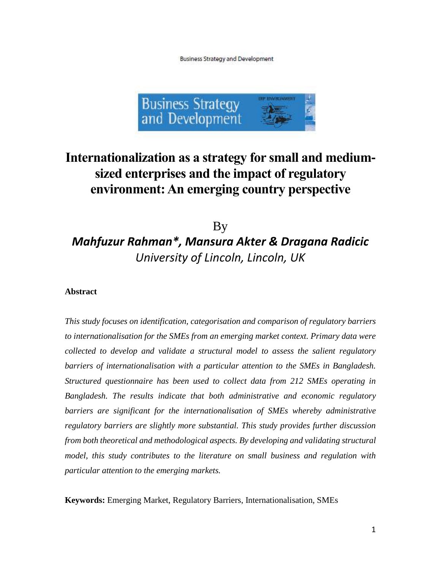**Business Strategy and Development** 



## **Internationalization as a strategy for small and medium**‐ **sized enterprises and the impact of regulatory environment: An emerging country perspective**

## By *Mahfuzur Rahman\*, Mansura Akter & Dragana Radicic University of Lincoln, Lincoln, UK*

## **Abstract**

*This study focuses on identification, categorisation and comparison of regulatory barriers to internationalisation for the SMEs from an emerging market context. Primary data were collected to develop and validate a structural model to assess the salient regulatory barriers of internationalisation with a particular attention to the SMEs in Bangladesh. Structured questionnaire has been used to collect data from 212 SMEs operating in Bangladesh. The results indicate that both administrative and economic regulatory barriers are significant for the internationalisation of SMEs whereby administrative regulatory barriers are slightly more substantial. This study provides further discussion from both theoretical and methodological aspects. By developing and validating structural model, this study contributes to the literature on small business and regulation with particular attention to the emerging markets.* 

**Keywords:** Emerging Market, Regulatory Barriers, Internationalisation, SMEs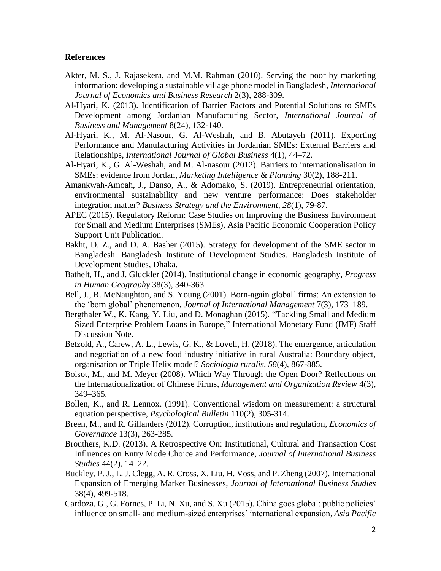## **References**

- Akter, M. S., J. Rajasekera, and M.M. Rahman (2010). Serving the poor by marketing information: developing a sustainable village phone model in Bangladesh, *International Journal of Economics and Business Research* 2(3), 288-309.
- Al-Hyari, K. (2013). Identification of Barrier Factors and Potential Solutions to SMEs Development among Jordanian Manufacturing Sector, *International Journal of Business and Management* 8(24), 132-140.
- Al-Hyari, K., M. Al-Nasour, G. Al-Weshah, and B. Abutayeh (2011). Exporting Performance and Manufacturing Activities in Jordanian SMEs: External Barriers and Relationships, *International Journal of Global Business* 4(1), 44–72.
- Al-Hyari, K., G. Al-Weshah, and M. Al-nasour (2012). Barriers to internationalisation in SMEs: evidence from Jordan, *Marketing Intelligence & Planning* 30(2), 188-211.
- Amankwah‐Amoah, J., Danso, A., & Adomako, S. (2019). Entrepreneurial orientation, environmental sustainability and new venture performance: Does stakeholder integration matter? *Business Strategy and the Environment*, *28*(1), 79-87.
- APEC (2015). Regulatory Reform: Case Studies on Improving the Business Environment for Small and Medium Enterprises (SMEs), Asia Pacific Economic Cooperation Policy Support Unit Publication.
- Bakht, D. Z., and D. A. Basher (2015). Strategy for development of the SME sector in Bangladesh. Bangladesh Institute of Development Studies. Bangladesh Institute of Development Studies, Dhaka.
- Bathelt, H., and J. Gluckler (2014). Institutional change in economic geography, *Progress in Human Geography* 38(3), 340-363.
- Bell, J., R. McNaughton, and S. Young (2001). Born-again global' firms: An extension to the 'born global' phenomenon, *Journal of International Management* 7(3), 173–189.
- Bergthaler W., K. Kang, Y. Liu, and D. Monaghan (2015). "Tackling Small and Medium Sized Enterprise Problem Loans in Europe," International Monetary Fund (IMF) Staff Discussion Note.
- Betzold, A., Carew, A. L., Lewis, G. K., & Lovell, H. (2018). The emergence, articulation and negotiation of a new food industry initiative in rural Australia: Boundary object, organisation or Triple Helix model? *Sociologia ruralis*, *58*(4), 867-885.
- Boisot, M., and M. Meyer (2008). Which Way Through the Open Door? Reflections on the Internationalization of Chinese Firms, *Management and Organization Review* 4(3), 349–365.
- Bollen, K., and R. Lennox. (1991). Conventional wisdom on measurement: a structural equation perspective, *Psychological Bulletin* 110(2), 305-314.
- Breen, M., and R. Gillanders (2012). Corruption, institutions and regulation, *Economics of Governance* 13(3), 263-285.
- Brouthers, K.D. (2013). A Retrospective On: Institutional, Cultural and Transaction Cost Influences on Entry Mode Choice and Performance, *Journal of International Business Studies* 44(2), 14–22.
- Buckley, P. J., L. J. Clegg, A. R. Cross, X. Liu, H. Voss, and P. Zheng (2007). International Expansion of Emerging Market Businesses, *Journal of International Business Studies*  38(4), 499-518.
- Cardoza, G., G. Fornes, P. Li, N. Xu, and S. Xu (2015). China goes global: public policies' influence on small- and medium-sized enterprises' international expansion, *Asia Pacific*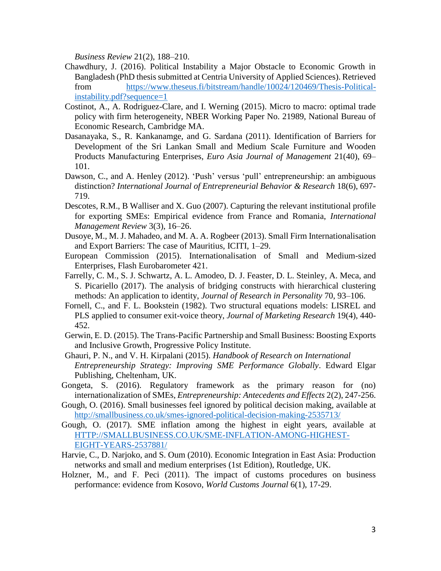*Business Review* 21(2), 188–210.

- Chawdhury, J. (2016). Political Instability a Major Obstacle to Economic Growth in Bangladesh (PhD thesis submitted at Centria University of Applied Sciences). Retrieved from [https://www.theseus.fi/bitstream/handle/10024/120469/Thesis-Political](https://www.theseus.fi/bitstream/handle/10024/120469/Thesis-Political-instability.pdf?sequence=1)[instability.pdf?sequence=1](https://www.theseus.fi/bitstream/handle/10024/120469/Thesis-Political-instability.pdf?sequence=1)
- Costinot, A., A. Rodriguez-Clare, and I. Werning (2015). Micro to macro: optimal trade policy with firm heterogeneity, NBER Working Paper No. 21989, National Bureau of Economic Research, Cambridge MA.
- Dasanayaka, S., R. Kankanamge, and G. Sardana (2011). Identification of Barriers for Development of the Sri Lankan Small and Medium Scale Furniture and Wooden Products Manufacturing Enterprises, *Euro Asia Journal of Management* 21(40), 69– 101.
- Dawson, C., and A. Henley (2012). 'Push' versus 'pull' entrepreneurship: an ambiguous distinction? *International Journal of Entrepreneurial Behavior & Research* 18(6), 697- 719.
- Descotes, R.M., B Walliser and X. Guo (2007). Capturing the relevant institutional profile for exporting SMEs: Empirical evidence from France and Romania, *International Management Review* 3(3), 16–26.
- Dusoye, M., M. J. Mahadeo, and M. A. A. Rogbeer (2013). Small Firm Internationalisation and Export Barriers: The case of Mauritius, ICITI, 1–29.
- European Commission (2015). Internationalisation of Small and Medium-sized Enterprises, Flash Eurobarometer 421.
- Farrelly, C. M., S. J. Schwartz, A. L. Amodeo, D. J. Feaster, D. L. Steinley, A. Meca, and S. Picariello (2017). The analysis of bridging constructs with hierarchical clustering methods: An application to identity, *Journal of Research in Personality* 70, 93–106.
- Fornell, C., and F. L. Bookstein (1982). Two structural equations models: LISREL and PLS applied to consumer exit-voice theory, *Journal of Marketing Research* 19(4), 440- 452.
- Gerwin, E. D. (2015). The Trans-Pacific Partnership and Small Business: Boosting Exports and Inclusive Growth, Progressive Policy Institute.
- Ghauri, P. N., and V. H. Kirpalani (2015). *Handbook of Research on International Entrepreneurship Strategy: Improving SME Performance Globally*. Edward Elgar Publishing, Cheltenham, UK.
- Gongeta, S. (2016). Regulatory framework as the primary reason for (no) internationalization of SMEs, *Entrepreneurship: Antecedents and Effects* 2(2), 247-256.
- Gough, O. (2016). Small businesses feel ignored by political decision making, available at <http://smallbusiness.co.uk/smes-ignored-political-decision-making-2535713/>
- Gough, O. (2017). SME inflation among the highest in eight years, available at [HTTP://SMALLBUSINESS.CO.UK/SME-INFLATION-AMONG-HIGHEST-](http://smallbusiness.co.uk/sme-inflation-among-highest-eight-years-2537881/)[EIGHT-YEARS-2537881/](http://smallbusiness.co.uk/sme-inflation-among-highest-eight-years-2537881/)
- Harvie, C., D. Narjoko, and S. Oum (2010). Economic Integration in East Asia: Production networks and small and medium enterprises (1st Edition), Routledge, UK.
- Holzner, M., and F. Peci (2011). The impact of customs procedures on business performance: evidence from Kosovo, *World Customs Journal* 6(1), 17-29.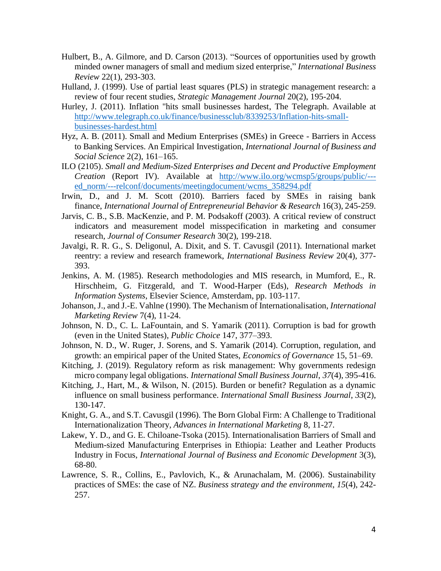- Hulbert, B., A. Gilmore, and D. Carson (2013). "Sources of opportunities used by growth minded owner managers of small and medium sized enterprise," *International Business Review* 22(1), 293-303.
- Hulland, J. (1999). Use of partial least squares (PLS) in strategic management research: a review of four recent studies, *Strategic Management Journal* 20(2), 195-204.
- Hurley, J. (2011). Inflation "hits small businesses hardest, The Telegraph. Available at [http://www.telegraph.co.uk/finance/businessclub/8339253/Inflation-hits-small](http://www.telegraph.co.uk/finance/businessclub/8339253/Inflation-hits-small-businesses-hardest.html)[businesses-hardest.html](http://www.telegraph.co.uk/finance/businessclub/8339253/Inflation-hits-small-businesses-hardest.html)
- Hyz, A. B. (2011). Small and Medium Enterprises (SMEs) in Greece Barriers in Access to Banking Services. An Empirical Investigation, *International Journal of Business and Social Science* 2(2), 161–165.
- ILO (2105). *Small and Medium-Sized Enterprises and Decent and Productive Employment Creation* (Report IV). Available at [http://www.ilo.org/wcmsp5/groups/public/--](http://www.ilo.org/wcmsp5/groups/public/---ed_norm/---relconf/documents/meetingdocument/wcms_358294.pdf) [ed\\_norm/---relconf/documents/meetingdocument/wcms\\_358294.pdf](http://www.ilo.org/wcmsp5/groups/public/---ed_norm/---relconf/documents/meetingdocument/wcms_358294.pdf)
- Irwin, D., and J. M. Scott (2010). Barriers faced by SMEs in raising bank finance, *International Journal of Entrepreneurial Behavior & Research* 16(3), 245-259.
- Jarvis, C. B., S.B. MacKenzie, and P. M. Podsakoff (2003). A critical review of construct indicators and measurement model misspecification in marketing and consumer research, *Journal of Consumer Research* 30(2), 199-218.
- Javalgi, R. R. G., S. Deligonul, A. Dixit, and S. T. Cavusgil (2011). International market reentry: a review and research framework, *International Business Review* 20(4), 377- 393.
- Jenkins, A. M. (1985). Research methodologies and MIS research, in Mumford, E., R. Hirschheim, G. Fitzgerald, and T. Wood-Harper (Eds), *Research Methods in Information Systems*, Elsevier Science, Amsterdam, pp. 103-117.
- Johanson, J., and J.-E. Vahlne (1990). The Mechanism of Internationalisation, *International Marketing Review* 7(4), 11-24.
- Johnson, N. D., C. L. LaFountain, and S. Yamarik (2011). Corruption is bad for growth (even in the United States), *Public Choice* 147, 377–393.
- Johnson, N. D., W. Ruger, J. Sorens, and S. Yamarik (2014). Corruption, regulation, and growth: an empirical paper of the United States, *Economics of Governance* 15, 51–69.
- Kitching, J. (2019). Regulatory reform as risk management: Why governments redesign micro company legal obligations. *International Small Business Journal*, *37*(4), 395-416.
- Kitching, J., Hart, M., & Wilson, N. (2015). Burden or benefit? Regulation as a dynamic influence on small business performance. *International Small Business Journal*, *33*(2), 130-147.
- Knight, G. A., and S.T. Cavusgil (1996). The Born Global Firm: A Challenge to Traditional Internationalization Theory, *Advances in International Marketing* 8, 11-27.
- Lakew, Y. D., and G. E. Chiloane-Tsoka (2015). Internationalisation Barriers of Small and Medium-sized Manufacturing Enterprises in Ethiopia: Leather and Leather Products Industry in Focus, *International Journal of Business and Economic Development* 3(3), 68-80.
- Lawrence, S. R., Collins, E., Pavlovich, K., & Arunachalam, M. (2006). Sustainability practices of SMEs: the case of NZ. *Business strategy and the environment*, *15*(4), 242- 257.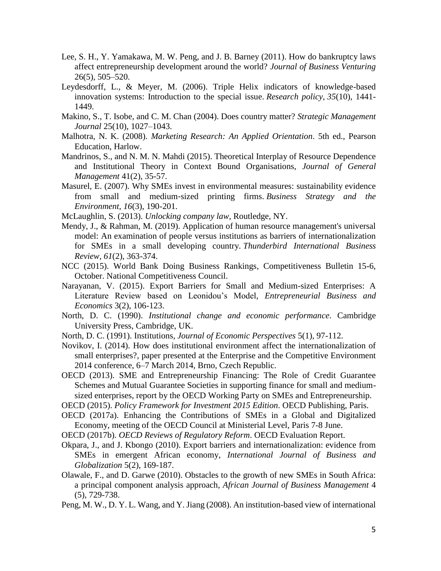- Lee, S. H., Y. Yamakawa, M. W. Peng, and J. B. Barney (2011). How do bankruptcy laws affect entrepreneurship development around the world? *Journal of Business Venturing* 26(5), 505–520.
- Leydesdorff, L., & Meyer, M. (2006). Triple Helix indicators of knowledge-based innovation systems: Introduction to the special issue. *Research policy*, *35*(10), 1441- 1449.
- Makino, S., T. Isobe, and C. M. Chan (2004). Does country matter? *Strategic Management Journal* 25(10), 1027–1043.
- Malhotra, N. K. (2008). *Marketing Research: An Applied Orientation*. 5th ed., Pearson Education, Harlow.
- Mandrinos, S., and N. M. N. Mahdi (2015). Theoretical Interplay of Resource Dependence and Institutional Theory in Context Bound Organisations, *Journal of General Management* 41(2), 35-57.
- Masurel, E. (2007). Why SMEs invest in environmental measures: sustainability evidence from small and medium‐sized printing firms. *Business Strategy and the Environment*, *16*(3), 190-201.
- McLaughlin, S. (2013). *Unlocking company law*, Routledge, NY.
- Mendy, J., & Rahman, M. (2019). Application of human resource management's universal model: An examination of people versus institutions as barriers of internationalization for SMEs in a small developing country. *Thunderbird International Business Review*, *61*(2), 363-374.
- NCC (2015). World Bank Doing Business Rankings, Competitiveness Bulletin 15-6, October. National Competitiveness Council.
- Narayanan, V. (2015). Export Barriers for Small and Medium-sized Enterprises: A Literature Review based on Leonidou's Model, *Entrepreneurial Business and Economics* 3(2), 106-123.
- North, D. C. (1990). *Institutional change and economic performance*. Cambridge University Press, Cambridge, UK.
- North, D. C. (1991). Institutions, *Journal of Economic Perspectives* 5(1), 97-112.
- Novikov, I. (2014). How does institutional environment affect the internationalization of small enterprises?, paper presented at the Enterprise and the Competitive Environment 2014 conference, 6–7 March 2014, Brno, Czech Republic.
- OECD (2013). SME and Entrepreneurship Financing: The Role of Credit Guarantee Schemes and Mutual Guarantee Societies in supporting finance for small and mediumsized enterprises, report by the OECD Working Party on SMEs and Entrepreneurship.
- OECD (2015). *Policy Framework for Investment 2015 Edition*. OECD Publishing, Paris.
- OECD (2017a). Enhancing the Contributions of SMEs in a Global and Digitalized Economy, meeting of the OECD Council at Ministerial Level, Paris 7-8 June.
- OECD (2017b). *OECD Reviews of Regulatory Reform*. OECD Evaluation Report.
- Okpara, J., and J. Kbongo (2010). Export barriers and internationalization: evidence from SMEs in emergent African economy, *International Journal of Business and Globalization* 5(2), 169-187.
- Olawale, F., and D. Garwe (2010). Obstacles to the growth of new SMEs in South Africa: a principal component analysis approach, *African Journal of Business Management* 4 (5), 729-738.
- Peng, M. W., D. Y. L. Wang, and Y. Jiang (2008). An institution-based view of international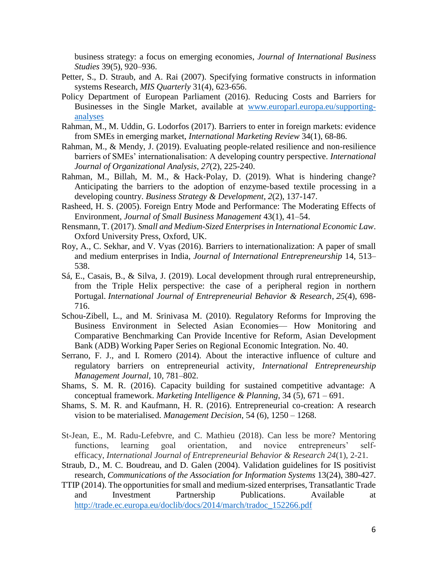business strategy: a focus on emerging economies, *Journal of International Business Studies* 39(5), 920–936.

- Petter, S., D. Straub, and A. Rai (2007). Specifying formative constructs in information systems Research, *MIS Quarterly* 31(4), 623-656.
- Policy Department of European Parliament (2016). Reducing Costs and Barriers for Businesses in the Single Market, available at [www.europarl.europa.eu/supporting](http://www.europarl.europa.eu/supporting-analyses)[analyses](http://www.europarl.europa.eu/supporting-analyses)
- Rahman, M., M. Uddin, G. Lodorfos (2017). Barriers to enter in foreign markets: evidence from SMEs in emerging market, *International Marketing Review* 34(1), 68-86.
- Rahman, M., & Mendy, J. (2019). Evaluating people-related resilience and non-resilience barriers of SMEs' internationalisation: A developing country perspective. *International Journal of Organizational Analysis*, *27*(2), 225-240.
- Rahman, M., Billah, M. M., & Hack‐Polay, D. (2019). What is hindering change? Anticipating the barriers to the adoption of enzyme‐based textile processing in a developing country. *Business Strategy & Development*, *2*(2), 137-147.
- Rasheed, H. S. (2005). Foreign Entry Mode and Performance: The Moderating Effects of Environment, *Journal of Small Business Management* 43(1), 41–54.
- Rensmann, T. (2017). *Small and Medium-Sized Enterprises in International Economic Law*. Oxford University Press, Oxford, UK.
- Roy, A., C. Sekhar, and V. Vyas (2016). Barriers to internationalization: A paper of small and medium enterprises in India, *Journal of International Entrepreneurship* 14, 513– 538.
- Sá, E., Casais, B., & Silva, J. (2019). Local development through rural entrepreneurship, from the Triple Helix perspective: the case of a peripheral region in northern Portugal. *International Journal of Entrepreneurial Behavior & Research*, *25*(4), 698- 716.
- Schou-Zibell, L., and M. Srinivasa M. (2010). Regulatory Reforms for Improving the Business Environment in Selected Asian Economies— How Monitoring and Comparative Benchmarking Can Provide Incentive for Reform, Asian Development Bank (ADB) Working Paper Series on Regional Economic Integration. No. 40.
- Serrano, F. J., and I. Romero (2014). About the interactive influence of culture and regulatory barriers on entrepreneurial activity, *International Entrepreneurship Management Journal,* 10, 781–802.
- Shams, S. M. R. (2016). Capacity building for sustained competitive advantage: A conceptual framework. *Marketing Intelligence & Planning*, 34 (5), 671 – 691.
- Shams, S. M. R. and Kaufmann, H. R. (2016). Entrepreneurial co-creation: A research vision to be materialised. *Management Decision*, 54 (6), 1250 – 1268.
- St-Jean, E., M. Radu-Lefebvre, and C. Mathieu (2018). Can less be more? Mentoring functions, learning goal orientation, and novice entrepreneurs' selfefficacy, *International Journal of Entrepreneurial Behavior & Research 24*(1), 2-21.
- Straub, D., M. C. Boudreau, and D. Galen (2004). Validation guidelines for IS positivist research, *Communications of the Association for Information Systems* 13(24), 380-427.
- TTIP (2014). The opportunities for small and medium-sized enterprises, Transatlantic Trade and Investment Partnership Publications. Available at [http://trade.ec.europa.eu/doclib/docs/2014/march/tradoc\\_152266.pdf](http://trade.ec.europa.eu/doclib/docs/2014/march/tradoc_152266.pdf)